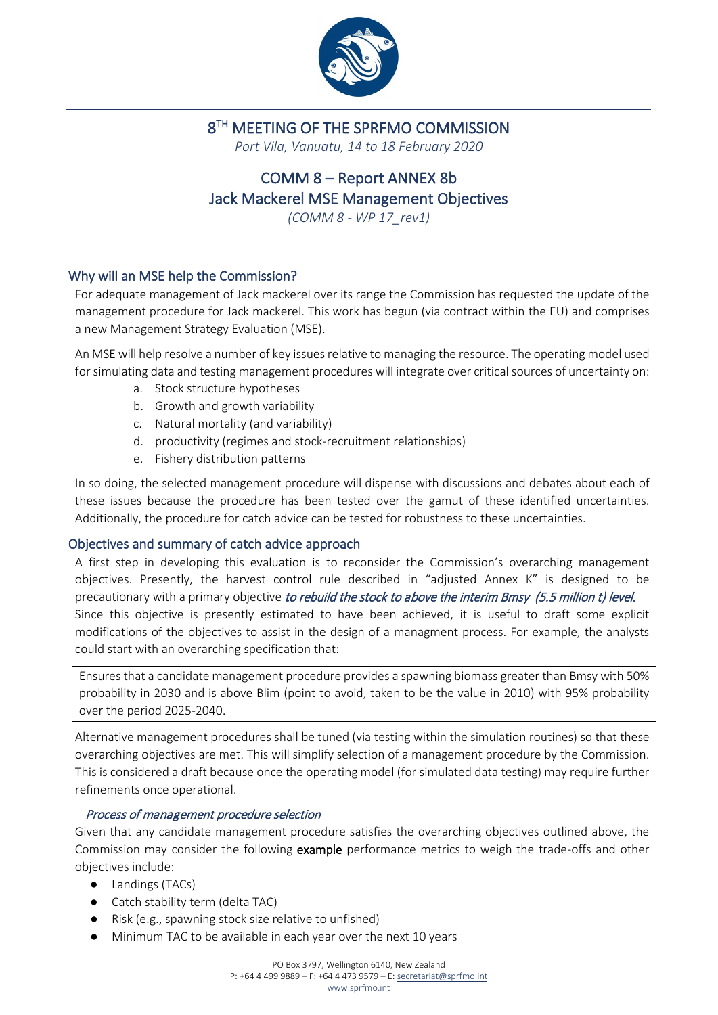

## 8<sup>TH</sup> MEETING OF THE SPRFMO COMMISSION

*Port Vila, Vanuatu, 14 to 18 February 2020*

# COMM 8 – Report ANNEX 8b Jack Mackerel MSE Management Objectives

*(COMM 8 - WP 17\_rev1)*

### Why will an MSE help the Commission?

For adequate management of Jack mackerel over its range the Commission has requested the update of the management procedure for Jack mackerel. This work has begun (via contract within the EU) and comprises a new Management Strategy Evaluation (MSE).

An MSE will help resolve a number of key issues relative to managing the resource. The operating model used for simulating data and testing management procedures will integrate over critical sources of uncertainty on:

- a. Stock structure hypotheses
- b. Growth and growth variability
- c. Natural mortality (and variability)
- d. productivity (regimes and stock-recruitment relationships)
- e. Fishery distribution patterns

In so doing, the selected management procedure will dispense with discussions and debates about each of these issues because the procedure has been tested over the gamut of these identified uncertainties. Additionally, the procedure for catch advice can be tested for robustness to these uncertainties.

#### Objectives and summary of catch advice approach

A first step in developing this evaluation is to reconsider the Commission's overarching management objectives. Presently, the harvest control rule described in "adjusted Annex K" is designed to be precautionary with a primary objective to rebuild the stock to above the interim Bmsy (5.5 million t) level. Since this objective is presently estimated to have been achieved, it is useful to draft some explicit modifications of the objectives to assist in the design of a managment process. For example, the analysts could start with an overarching specification that:

Ensures that a candidate management procedure provides a spawning biomass greater than Bmsy with 50% probability in 2030 and is above Blim (point to avoid, taken to be the value in 2010) with 95% probability over the period 2025-2040.

Alternative management procedures shall be tuned (via testing within the simulation routines) so that these overarching objectives are met. This will simplify selection of a management procedure by the Commission. This is considered a draft because once the operating model (for simulated data testing) may require further refinements once operational.

#### Process of management procedure selection

Given that any candidate management procedure satisfies the overarching objectives outlined above, the Commission may consider the following example performance metrics to weigh the trade-offs and other objectives include:

- Landings (TACs)
- Catch stability term (delta TAC)
- Risk (e.g., spawning stock size relative to unfished)
- Minimum TAC to be available in each year over the next 10 years